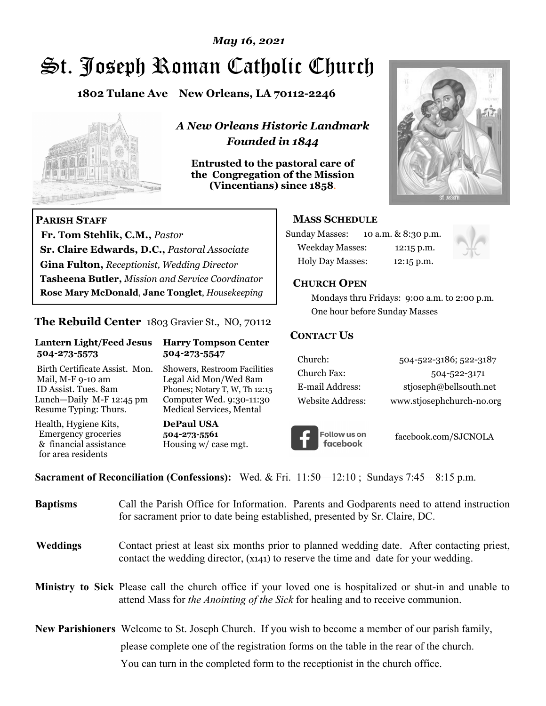# *May 16, 2021*

# St. Joseph Roman Catholic Church

**1802 Tulane Ave New Orleans, LA 70112-2246**



 **Fr. Tom Stehlik, C.M.,** *Pastor* 

**Sr. Claire Edwards, D.C.,** *Pastoral Associate* **Gina Fulton,** *Receptionist, Wedding Director* 

**Tasheena Butler,** *Mission and Service Coordinator* **Rose Mary McDonald**, **Jane Tonglet**, *Housekeeping*

**The Rebuild Center** 1803 Gravier St., NO, 70112

**Lantern Light/Feed Jesus Harry Tompson Center** 

Birth Certificate Assist. Mon. Showers, Restroom Facilities Mail, M-F 9-10 am Legal Aid Mon/Wed 8am ID Assist. Tues. 8am Phones; Notary T, W, Th 12:15 Lunch—Daily M-F 12:45 pm Computer Wed. 9:30-11:30 Resume Typing: Thurs. Medical Services, Mental

 **504-273-5573 504-273-5547** 

Health, Hygiene Kits, **DePaul USA**  Emergency groceries **504-273-5561**<br>& financial assistance **Housing w/** ca

**PARISH STAFF**

for area residents

*A New Orleans Historic Landmark Founded in 1844* 

**Entrusted to the pastoral care of the Congregation of the Mission (Vincentians) since 1858**.



#### **MASS SCHEDULE**

| <b>Sunday Masses:</b>  | 10 a.m. & 8:30 p.m. |
|------------------------|---------------------|
| <b>Weekday Masses:</b> | $12:15$ p.m.        |
| Holy Day Masses:       | 12:15 p.m.          |



#### **CHURCH OPEN**

 Mondays thru Fridays: 9:00 a.m. to 2:00 p.m. One hour before Sunday Masses

#### **CONTACT US**

| Church:          | 504-522-3186; 522-3187    |
|------------------|---------------------------|
| Church Fax:      | 504-522-3171              |
| E-mail Address:  | stjoseph@bellsouth.net    |
| Website Address: | www.stjosephchurch-no.org |



facebook.com/SJCNOLA

**Sacrament of Reconciliation (Confessions):** Wed. & Fri. 11:50—12:10 ; Sundays 7:45—8:15 p.m.

Housing w/ case mgt.

| <b>Baptisms</b> | Call the Parish Office for Information. Parents and Godparents need to attend instruction<br>for sacrament prior to date being established, presented by Sr. Claire, DC.                            |
|-----------------|-----------------------------------------------------------------------------------------------------------------------------------------------------------------------------------------------------|
| <b>Weddings</b> | Contact priest at least six months prior to planned wedding date. After contacting priest,<br>contact the wedding director, (x141) to reserve the time and date for your wedding.                   |
|                 | Ministry to Sick Please call the church office if your loved one is hospitalized or shut-in and unable to<br>attend Mass for <i>the Anointing of the Sick</i> for healing and to receive communion. |
|                 | <b>New Parishioners</b> Welcome to St. Joseph Church. If you wish to become a member of our parish family,                                                                                          |
|                 | please complete one of the registration forms on the table in the rear of the church.                                                                                                               |
|                 | You can turn in the completed form to the reception is the church office.                                                                                                                           |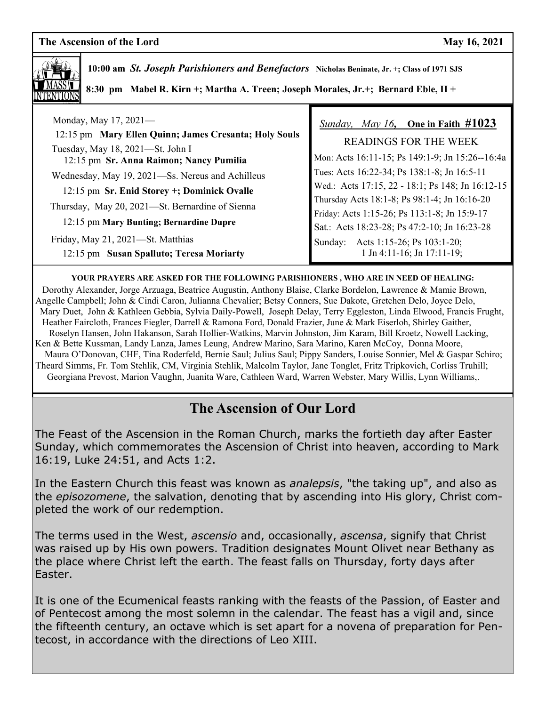

 **10:00 am** *St. Joseph Parishioners and Benefactors* **Nicholas Beninate, Jr. +; Class of 1971 SJS 8:30 pm Mabel R. Kirn +; Martha A. Treen; Joseph Morales, Jr.+; Bernard Eble, II +** 

| Monday, May $17, 2021$ —                                                                   | Sunday, May 16, One in Faith $\#1023$            |
|--------------------------------------------------------------------------------------------|--------------------------------------------------|
| 12:15 pm Mary Ellen Quinn; James Cresanta; Holy Souls                                      | READINGS FOR THE WEEK                            |
| Tuesday, May 18, 2021-St. John I<br>12:15 pm Sr. Anna Raimon; Nancy Pumilia                | Mon: Acts 16:11-15; Ps 149:1-9; Jn 15:26--16:4a  |
| Wednesday, May 19, 2021-Ss. Nereus and Achilleus                                           | Tues: Acts 16:22-34; Ps 138:1-8; Jn 16:5-11      |
| 12:15 pm Sr. Enid Storey +; Dominick Ovalle                                                | Wed.: Acts 17:15, 22 - 18:1; Ps 148; Jn 16:12-15 |
| Thursday, May 20, 2021-St. Bernardine of Sienna<br>12:15 pm Mary Bunting; Bernardine Dupre | Thursday Acts 18:1-8; Ps 98:1-4; Jn 16:16-20     |
|                                                                                            | Friday: Acts 1:15-26; Ps 113:1-8; Jn 15:9-17     |
|                                                                                            | Sat.: Acts 18:23-28; Ps 47:2-10; Jn 16:23-28     |
| Friday, May 21, 2021—St. Matthias                                                          | Sunday: Acts 1:15-26; Ps 103:1-20;               |
| 12:15 pm Susan Spalluto; Teresa Moriarty                                                   | 1 Jn 4:11-16; Jn 17:11-19;                       |

**YOUR PRAYERS ARE ASKED FOR THE FOLLOWING PARISHIONERS , WHO ARE IN NEED OF HEALING:** 

 Dorothy Alexander, Jorge Arzuaga, Beatrice Augustin, Anthony Blaise, Clarke Bordelon, Lawrence & Mamie Brown, Angelle Campbell; John & Cindi Caron, Julianna Chevalier; Betsy Conners, Sue Dakote, Gretchen Delo, Joyce Delo, Mary Duet, John & Kathleen Gebbia, Sylvia Daily-Powell, Joseph Delay, Terry Eggleston, Linda Elwood, Francis Frught, Heather Faircloth, Frances Fiegler, Darrell & Ramona Ford, Donald Frazier, June & Mark Eiserloh, Shirley Gaither, Roselyn Hansen, John Hakanson, Sarah Hollier-Watkins, Marvin Johnston, Jim Karam, Bill Kroetz, Nowell Lacking, Ken & Bette Kussman, Landy Lanza, James Leung, Andrew Marino, Sara Marino, Karen McCoy, Donna Moore, Maura O'Donovan, CHF, Tina Roderfeld, Bernie Saul; Julius Saul; Pippy Sanders, Louise Sonnier, Mel & Gaspar Schiro; Theard Simms, Fr. Tom Stehlik, CM, Virginia Stehlik, Malcolm Taylor, Jane Tonglet, Fritz Tripkovich, Corliss Truhill; Georgiana Prevost, Marion Vaughn, Juanita Ware, Cathleen Ward, Warren Webster, Mary Willis, Lynn Williams,.

# **The Ascension of Our Lord**

The Feast of the Ascension in the Roman Church, marks the fortieth day after Easter Sunday, which commemorates the Ascension of Christ into heaven, according to Mark 16:19, Luke 24:51, and Acts 1:2.

In the Eastern Church this feast was known as *analepsis*, "the taking up", and also as the *episozomene*, the salvation, denoting that by ascending into His glory, Christ completed the work of our redemption.

The terms used in the West, *ascensio* and, occasionally, *ascensa*, signify that Christ was raised up by His own powers. Tradition designates Mount Olivet near Bethany as the place where Christ left the earth. The feast falls on Thursday, forty days after Easter.

It is one of the Ecumenical feasts ranking with the feasts of the Passion, of Easter and of Pentecost among the most solemn in the calendar. The feast has a vigil and, since the fifteenth century, an octave which is set apart for a novena of preparation for Pentecost, in accordance with the directions of Leo XIII.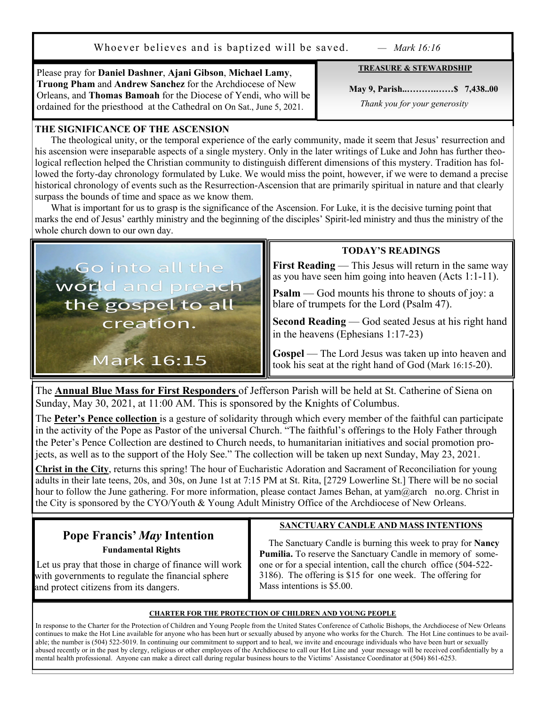Whoever believes and is baptized will be saved. *— Mark 16:16*

**TREASURE & STEWARDSHIP** 

Please pray for **Daniel Dashner**, **Ajani Gibson**, **Michael Lamy**, **Truong Pham** and **Andrew Sanchez** for the Archdiocese of New Orleans, and **Thomas Bamoah** for the Diocese of Yendi, who will be ordained for the priesthood at the Cathedral on On Sat., June 5, 2021.

#### **THE SIGNIFICANCE OF THE ASCENSION**

 The theological unity, or the temporal experience of the early community, made it seem that Jesus' resurrection and his ascension were inseparable aspects of a single mystery. Only in the later writings of Luke and John has further theological reflection helped the Christian community to distinguish different dimensions of this mystery. Tradition has followed the forty-day chronology formulated by Luke. We would miss the point, however, if we were to demand a precise historical chronology of events such as the Resurrection-Ascension that are primarily spiritual in nature and that clearly surpass the bounds of time and space as we know them.

What is important for us to grasp is the significance of the Ascension. For Luke, it is the decisive turning point that marks the end of Jesus' earthly ministry and the beginning of the disciples' Spirit-led ministry and thus the ministry of the whole church down to our own day.



**Go into all the** 

#### **TODAY'S READINGS**

**First Reading** — This Jesus will return in the same way as you have seen him going into heaven (Acts 1:1-11).

**Psalm** — God mounts his throne to shouts of joy: a blare of trumpets for the Lord (Psalm 47).

**Second Reading** — God seated Jesus at his right hand in the heavens (Ephesians 1:17-23)

Gospel — The Lord Jesus was taken up into heaven and took his seat at the right hand of God (Mark 16:15-20).

The **Annual Blue Mass for First Responders** of Jefferson Parish will be held at St. Catherine of Siena on Sunday, May 30, 2021, at 11:00 AM. This is sponsored by the Knights of Columbus.

The **Peter's Pence collection** is a gesture of solidarity through which every member of the faithful can participate in the activity of the Pope as Pastor of the universal Church. "The faithful's offerings to the Holy Father through the Peter's Pence Collection are destined to Church needs, to humanitarian initiatives and social promotion projects, as well as to the support of the Holy See." The collection will be taken up next Sunday, May 23, 2021.

**Christ in the City**, returns this spring! The hour of Eucharistic Adoration and Sacrament of Reconciliation for young adults in their late teens, 20s, and 30s, on June 1st at 7:15 PM at St. Rita, [2729 Lowerline St.] There will be no social hour to follow the June gathering. For more information, please contact James Behan, at yam@arch no.org. Christ in the City is sponsored by the CYO/Youth & Young Adult Ministry Office of the Archdiocese of New Orleans.

# **Pope Francis'** *May* **Intention Fundamental Rights**

 Let us pray that those in charge of finance will work with governments to regulate the financial sphere and protect citizens from its dangers.

#### **SANCTUARY CANDLE AND MASS INTENTIONS**

 The Sanctuary Candle is burning this week to pray for **Nancy Pumilia.** To reserve the Sanctuary Candle in memory of someone or for a special intention, call the church office (504-522- 3186). The offering is \$15 for one week. The offering for Mass intentions is \$5.00.

#### **CHARTER FOR THE PROTECTION OF CHILDREN AND YOUNG PEOPLE**

In response to the Charter for the Protection of Children and Young People from the United States Conference of Catholic Bishops, the Archdiocese of New Orleans continues to make the Hot Line available for anyone who has been hurt or sexually abused by anyone who works for the Church. The Hot Line continues to be available; the number is (504) 522-5019. In continuing our commitment to support and to heal, we invite and encourage individuals who have been hurt or sexually abused recently or in the past by clergy, religious or other employees of the Archdiocese to call our Hot Line and your message will be received confidentially by a mental health professional. Anyone can make a direct call during regular business hours to the Victims' Assistance Coordinator at (504) 861-6253.

 **May 9, Parish..……….……\$ 7,438..00** *Thank you for your generosity*